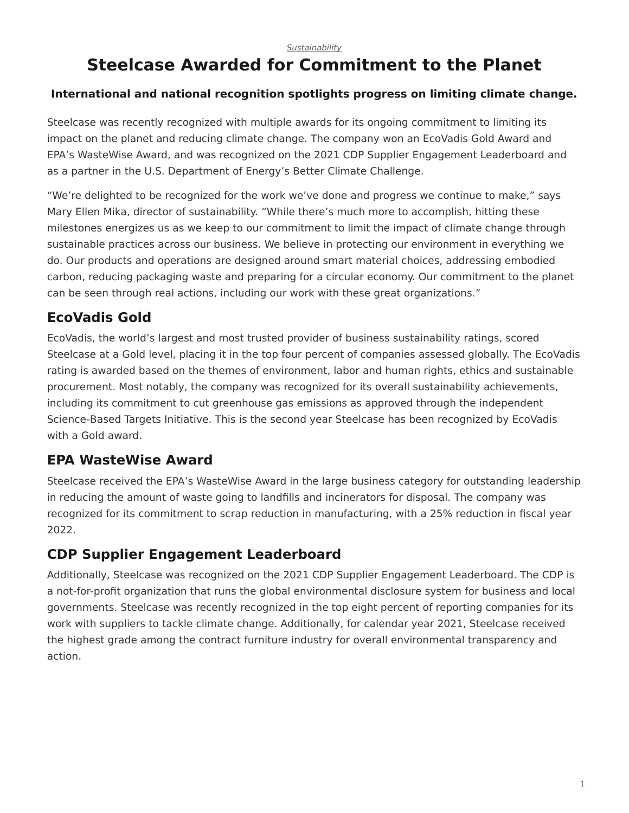# <span id="page-0-0"></span>**Steelcase Awarded for Commitment to the Planet**

#### **International and national recognition spotlights progress on limiting climate change.**

Steelcase was recently recognized with multiple awards for its ongoing commitment to limiting its impact on the planet and reducing climate change. The company won an EcoVadis Gold Award and EPA's WasteWise Award, and was recognized on the 2021 CDP Supplier Engagement Leaderboard and as a partner in the U.S. Department of Energy's Better Climate Challenge.

"We're delighted to be recognized for the work we've done and progress we continue to make," says Mary Ellen Mika, director of sustainability. "While there's much more to accomplish, hitting these milestones energizes us as we keep to our commitment to limit the impact of climate change through sustainable practices across our business. We believe in protecting our environment in everything we do. Our products and operations are designed around smart material choices, addressing embodied carbon, reducing packaging waste and preparing for a circular economy. Our commitment to the planet can be seen through real actions, including our work with these great organizations."

# **EcoVadis Gold**

EcoVadis, the world's largest and most trusted provider of business sustainability ratings, scored Steelcase at a Gold level, placing it in the top four percent of companies assessed globally. The EcoVadis rating is awarded based on the themes of environment, labor and human rights, ethics and sustainable procurement. Most notably, the company was recognized for its overall sustainability achievements, including its commitment to cut greenhouse gas emissions as approved through the independent Science-Based Targets Initiative. This is the second year Steelcase has been recognized by EcoVadis with a Gold award.

### **EPA WasteWise Award**

Steelcase received the EPA's WasteWise Award in the large business category for outstanding leadership in reducing the amount of waste going to landfills and incinerators for disposal. The company was recognized for its commitment to scrap reduction in manufacturing, with a 25% reduction in fiscal year 2022.

# **CDP Supplier Engagement Leaderboard**

Additionally, Steelcase was recognized on the 2021 CDP Supplier Engagement Leaderboard. The CDP is a not-for-profit organization that runs the global environmental disclosure system for business and local governments. Steelcase was recently recognized in the top eight percent of reporting companies for its work with suppliers to tackle climate change. Additionally, for calendar year 2021, Steelcase received the highest grade among the contract furniture industry for overall environmental transparency and action.